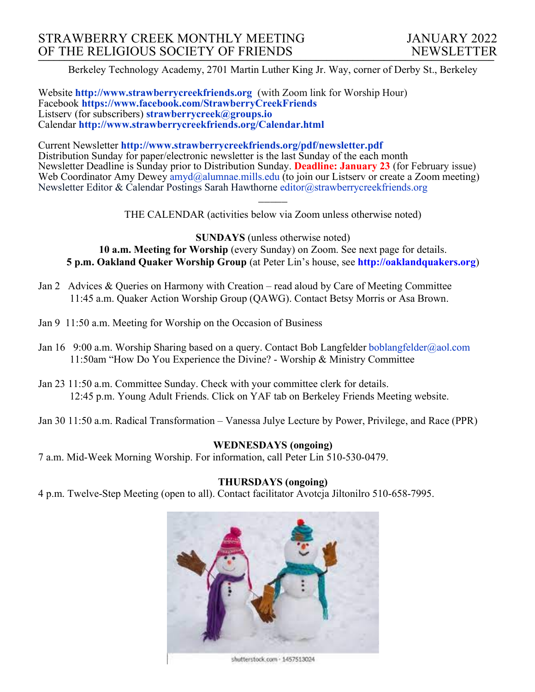Berkeley Technology Academy, 2701 Martin Luther King Jr. Way, corner of Derby St., Berkeley

Website **http://www.strawberrycreekfriends.org** (with Zoom link for Worship Hour) Facebook **https://www.facebook.com/StrawberryCreekFriends** Listserv (for subscribers) **strawberrycreek@groups.io** Calendar **http://www.strawberrycreekfriends.org/Calendar.html**

Current Newsletter **http://www.strawberrycreekfriends.org/pdf/newsletter.pdf** Distribution Sunday for paper/electronic newsletter is the last Sunday of the each month Newsletter Deadline is Sunday prior to Distribution Sunday. **Deadline: January 23** (for February issue) Web Coordinator Amy Dewey  $\frac{am\ddot{a}}{am\ddot{a}}$ alumnae.mills.edu (to join our Listserv or create a Zoom meeting) Newsletter Editor & Calendar Postings Sarah Hawthorne editor@strawberrycreekfriends.org

> $\overline{\phantom{a}}$ THE CALENDAR (activities below via Zoom unless otherwise noted)

**SUNDAYS** (unless otherwise noted) **10 a.m. Meeting for Worship** (every Sunday) on Zoom. See next page for details. **5 p.m. Oakland Quaker Worship Group** (at Peter Lin's house, see **http://oaklandquakers.org**)

- Jan 2 Advices & Queries on Harmony with Creation read aloud by Care of Meeting Committee 11:45 a.m. Quaker Action Worship Group (QAWG). Contact Betsy Morris or Asa Brown.
- Jan 9 11:50 a.m. Meeting for Worship on the Occasion of Business
- Jan 16 9:00 a.m. Worship Sharing based on a query. Contact Bob Langfelder boblangfelder@aol.com 11:50am "How Do You Experience the Divine? - Worship & Ministry Committee
- Jan 23 11:50 a.m. Committee Sunday. Check with your committee clerk for details. 12:45 p.m. Young Adult Friends. Click on YAF tab on Berkeley Friends Meeting website.
- Jan 30 11:50 a.m. Radical Transformation Vanessa Julye Lecture by Power, Privilege, and Race (PPR)

## **WEDNESDAYS (ongoing)**

7 a.m. Mid-Week Morning Worship. For information, call Peter Lin 510-530-0479.

#### **THURSDAYS (ongoing)**

4 p.m. Twelve-Step Meeting (open to all). Contact facilitator Avotcja Jiltonilro 510-658-7995.



shutterstock.com - 1457513024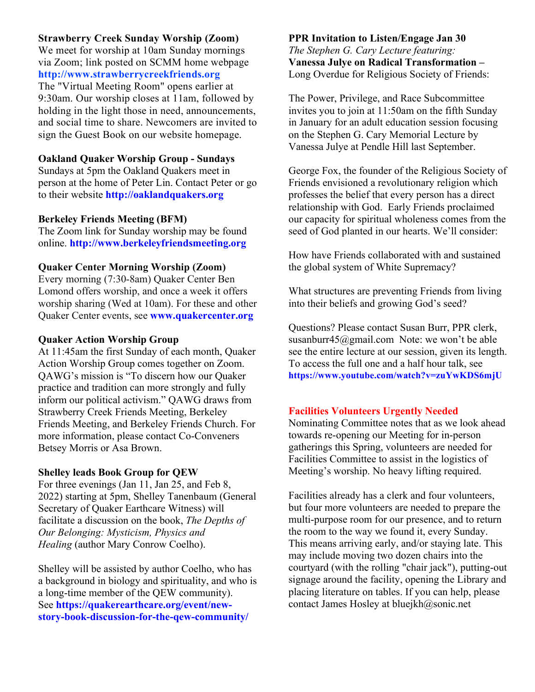### **Strawberry Creek Sunday Worship (Zoom)**

We meet for worship at 10am Sunday mornings via Zoom; link posted on SCMM home webpage **http://www.strawberrycreekfriends.org** The "Virtual Meeting Room" opens earlier at 9:30am. Our worship closes at 11am, followed by holding in the light those in need, announcements, and social time to share. Newcomers are invited to sign the Guest Book on our website homepage.

## **Oakland Quaker Worship Group - Sundays**

Sundays at 5pm the Oakland Quakers meet in person at the home of Peter Lin. Contact Peter or go to their website **http://oaklandquakers.org**

### **Berkeley Friends Meeting (BFM)**

The Zoom link for Sunday worship may be found online. **http://www.berkeleyfriendsmeeting.org**

#### **Quaker Center Morning Worship (Zoom)**

Every morning (7:30-8am) Quaker Center Ben Lomond offers worship, and once a week it offers worship sharing (Wed at 10am). For these and other Quaker Center events, see **www.quakercenter.org**

#### **Quaker Action Worship Group**

At 11:45am the first Sunday of each month, Quaker Action Worship Group comes together on Zoom. QAWG's mission is "To discern how our Quaker practice and tradition can more strongly and fully inform our political activism." QAWG draws from Strawberry Creek Friends Meeting, Berkeley Friends Meeting, and Berkeley Friends Church. For more information, please contact Co-Conveners Betsey Morris or Asa Brown.

### **Shelley leads Book Group for QEW**

For three evenings (Jan 11, Jan 25, and Feb 8, 2022) starting at 5pm, Shelley Tanenbaum (General Secretary of Quaker Earthcare Witness) will facilitate a discussion on the book, *The Depths of Our Belonging: Mysticism, Physics and Healing* (author Mary Conrow Coelho).

Shelley will be assisted by author Coelho, who has a background in biology and spirituality, and who is a long-time member of the QEW community). See **https://quakerearthcare.org/event/newstory-book-discussion-for-the-qew-community/**

## **PPR Invitation to Listen/Engage Jan 30** *The Stephen G. Cary Lecture featuring:* **Vanessa Julye on Radical Transformation –** Long Overdue for Religious Society of Friends:

The Power, Privilege, and Race Subcommittee invites you to join at 11:50am on the fifth Sunday in January for an adult education session focusing on the Stephen G. Cary Memorial Lecture by Vanessa Julye at Pendle Hill last September.

George Fox, the founder of the Religious Society of Friends envisioned a revolutionary religion which professes the belief that every person has a direct relationship with God. Early Friends proclaimed our capacity for spiritual wholeness comes from the seed of God planted in our hearts. We'll consider:

How have Friends collaborated with and sustained the global system of White Supremacy?

What structures are preventing Friends from living into their beliefs and growing God's seed?

Questions? Please contact Susan Burr, PPR clerk, susanburr45@gmail.com Note: we won't be able see the entire lecture at our session, given its length. To access the full one and a half hour talk, see **https://www.youtube.com/watch?v=zuYwKDS6mjU**

### **Facilities Volunteers Urgently Needed**

Nominating Committee notes that as we look ahead towards re-opening our Meeting for in-person gatherings this Spring, volunteers are needed for Facilities Committee to assist in the logistics of Meeting's worship. No heavy lifting required.

Facilities already has a clerk and four volunteers, but four more volunteers are needed to prepare the multi-purpose room for our presence, and to return the room to the way we found it, every Sunday. This means arriving early, and/or staying late. This may include moving two dozen chairs into the courtyard (with the rolling "chair jack"), putting-out signage around the facility, opening the Library and placing literature on tables. If you can help, please contact James Hosley at bluejkh@sonic.net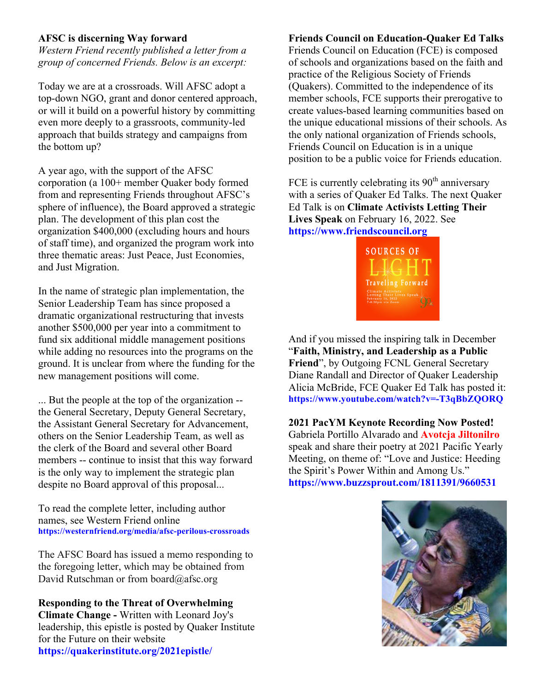## **AFSC is discerning Way forward**

*Western Friend recently published a letter from a group of concerned Friends. Below is an excerpt:*

Today we are at a crossroads. Will AFSC adopt a top-down NGO, grant and donor centered approach, or will it build on a powerful history by committing even more deeply to a grassroots, community-led approach that builds strategy and campaigns from the bottom up?

A year ago, with the support of the AFSC corporation (a 100+ member Quaker body formed from and representing Friends throughout AFSC's sphere of influence), the Board approved a strategic plan. The development of this plan cost the organization \$400,000 (excluding hours and hours of staff time), and organized the program work into three thematic areas: Just Peace, Just Economies, and Just Migration.

In the name of strategic plan implementation, the Senior Leadership Team has since proposed a dramatic organizational restructuring that invests another \$500,000 per year into a commitment to fund six additional middle management positions while adding no resources into the programs on the ground. It is unclear from where the funding for the new management positions will come.

... But the people at the top of the organization - the General Secretary, Deputy General Secretary, the Assistant General Secretary for Advancement, others on the Senior Leadership Team, as well as the clerk of the Board and several other Board members -- continue to insist that this way forward is the only way to implement the strategic plan despite no Board approval of this proposal...

To read the complete letter, including author names, see Western Friend online **https://westernfriend.org/media/afsc-perilous-crossroads**

The AFSC Board has issued a memo responding to the foregoing letter, which may be obtained from David Rutschman or from board@afsc.org

**Responding to the Threat of Overwhelming Climate Change -** Written with Leonard Joy's leadership, this epistle is posted by Quaker Institute for the Future on their website **https://quakerinstitute.org/2021epistle/**

### **Friends Council on Education-Quaker Ed Talks**

Friends Council on Education (FCE) is composed of schools and organizations based on the faith and practice of the Religious Society of Friends (Quakers). Committed to the independence of its member schools, FCE supports their prerogative to create values-based learning communities based on the unique educational missions of their schools. As the only national organization of Friends schools, Friends Council on Education is in a unique position to be a public voice for Friends education.

FCE is currently celebrating its  $90<sup>th</sup>$  anniversary with a series of Quaker Ed Talks. The next Quaker Ed Talk is on **Climate Activists Letting Their Lives Speak** on February 16, 2022. See **https://www.friendscouncil.org**



And if you missed the inspiring talk in December "**Faith, Ministry, and Leadership as a Public Friend**", by Outgoing FCNL General Secretary Diane Randall and Director of Quaker Leadership Alicia McBride, FCE Quaker Ed Talk has posted it: **https://www.youtube.com/watch?v=-T3qBbZQORQ**

**2021 PacYM Keynote Recording Now Posted!** Gabriela Portillo Alvarado and **Avotcja Jiltonilro** speak and share their poetry at 2021 Pacific Yearly Meeting, on theme of: "Love and Justice: Heeding the Spirit's Power Within and Among Us." **https://www.buzzsprout.com/1811391/9660531**

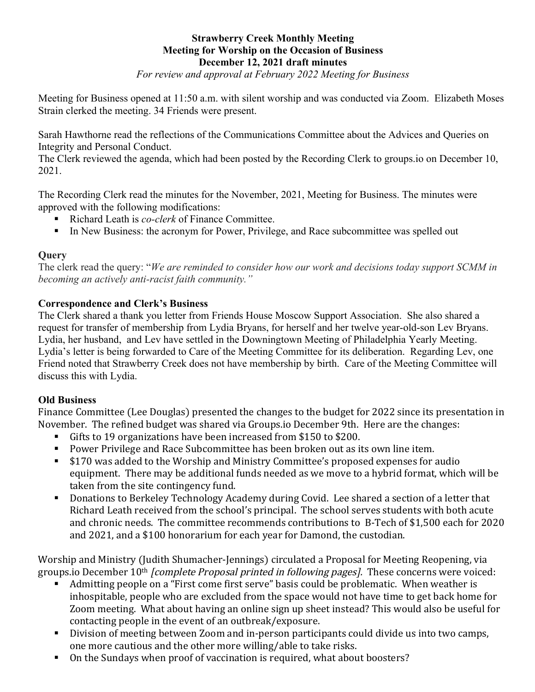# **Strawberry Creek Monthly Meeting Meeting for Worship on the Occasion of Business December 12, 2021 draft minutes**

*For review and approval at February 2022 Meeting for Business*

Meeting for Business opened at 11:50 a.m. with silent worship and was conducted via Zoom. Elizabeth Moses Strain clerked the meeting. 34 Friends were present.

Sarah Hawthorne read the reflections of the Communications Committee about the Advices and Queries on Integrity and Personal Conduct.

The Clerk reviewed the agenda, which had been posted by the Recording Clerk to groups.io on December 10, 2021.

The Recording Clerk read the minutes for the November, 2021, Meeting for Business. The minutes were approved with the following modifications:

- Richard Leath is *co-clerk* of Finance Committee.
- In New Business: the acronym for Power, Privilege, and Race subcommittee was spelled out

# **Query**

The clerk read the query: "*We are reminded to consider how our work and decisions today support SCMM in becoming an actively anti-racist faith community."*

# **Correspondence and Clerk's Business**

The Clerk shared a thank you letter from Friends House Moscow Support Association. She also shared a request for transfer of membership from Lydia Bryans, for herself and her twelve year-old-son Lev Bryans. Lydia, her husband, and Lev have settled in the Downingtown Meeting of Philadelphia Yearly Meeting. Lydia's letter is being forwarded to Care of the Meeting Committee for its deliberation. Regarding Lev, one Friend noted that Strawberry Creek does not have membership by birth. Care of the Meeting Committee will discuss this with Lydia.

# **Old Business**

Finance Committee (Lee Douglas) presented the changes to the budget for 2022 since its presentation in November. The refined budget was shared via Groups.io December 9th. Here are the changes:

- Gifts to 19 organizations have been increased from \$150 to \$200.
- Power Privilege and Race Subcommittee has been broken out as its own line item.
- \$170 was added to the Worship and Ministry Committee's proposed expenses for audio equipment. There may be additional funds needed as we move to a hybrid format, which will be taken from the site contingency fund.
- Donations to Berkeley Technology Academy during Covid. Lee shared a section of a letter that Richard Leath received from the school's principal. The school serves students with both acute and chronic needs. The committee recommends contributions to B-Tech of \$1,500 each for 2020 and 2021, and a \$100 honorarium for each year for Damond, the custodian.

Worship and Ministry (Judith Shumacher-Jennings) circulated a Proposal for Meeting Reopening, via groups.io December  $10^{th}$  *[complete Proposal printed in following pages]*. These concerns were voiced:

- Admitting people on a "First come first serve" basis could be problematic. When weather is inhospitable, people who are excluded from the space would not have time to get back home for Zoom meeting. What about having an online sign up sheet instead? This would also be useful for contacting people in the event of an outbreak/exposure.
- Division of meeting between Zoom and in-person participants could divide us into two camps, one more cautious and the other more willing/able to take risks.
- On the Sundays when proof of vaccination is required, what about boosters?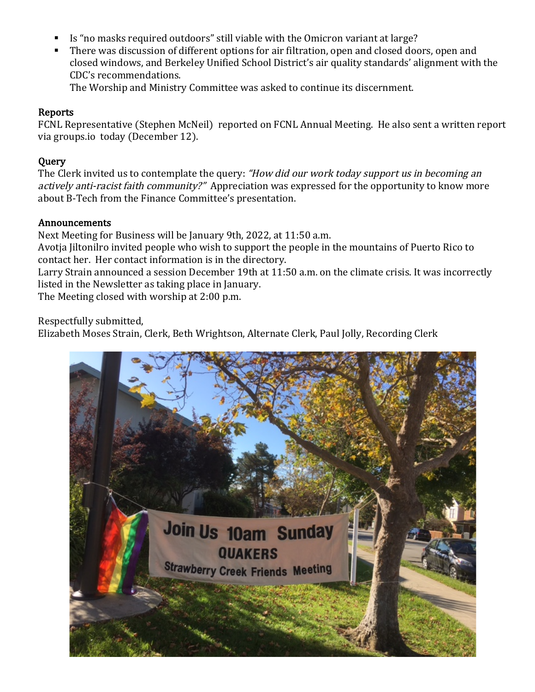- Is "no masks required outdoors" still viable with the Omicron variant at large?
- There was discussion of different options for air filtration, open and closed doors, open and closed windows, and Berkeley Unified School District's air quality standards' alignment with the CDC's recommendations.

The Worship and Ministry Committee was asked to continue its discernment.

# Reports

FCNL Representative (Stephen McNeil) reported on FCNL Annual Meeting. He also sent a written report via groups.io today (December 12).

# **Query**

The Clerk invited us to contemplate the query: "How did our work today support us in becoming an actively anti-racist faith community?" Appreciation was expressed for the opportunity to know more about B-Tech from the Finance Committee's presentation.

## Announcements

Next Meeting for Business will be January 9th, 2022, at 11:50 a.m.

Avotia Jiltonilro invited people who wish to support the people in the mountains of Puerto Rico to contact her. Her contact information is in the directory.

Larry Strain announced a session December 19th at 11:50 a.m. on the climate crisis. It was incorrectly listed in the Newsletter as taking place in January.

The Meeting closed with worship at 2:00 p.m.

Respectfully submitted,

Elizabeth Moses Strain, Clerk, Beth Wrightson, Alternate Clerk, Paul Jolly, Recording Clerk

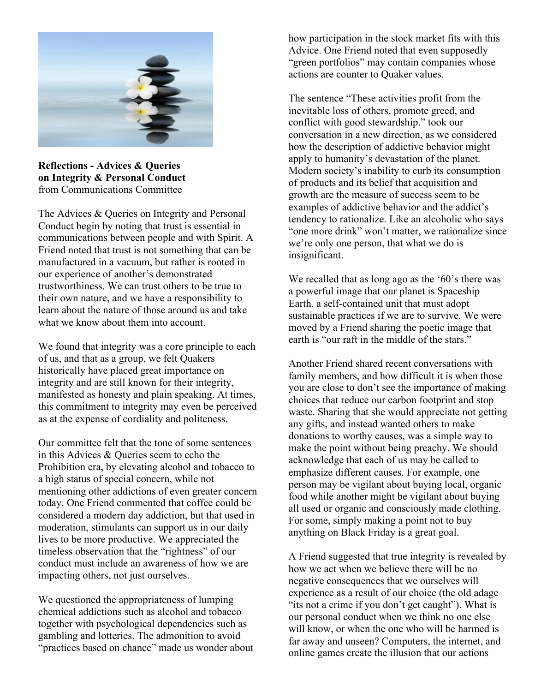

**Reflections - Advices & Queries on Integrity & Personal Conduct** from Communications Committee

The Advices & Oueries on Integrity and Personal Conduct begin by noting that trust is essential in communications between people and with Spirit. A Friend noted that trust is not something that can be manufactured in a vacuum, but rather is rooted in our experience of another's demonstrated trustworthiness. We can trust others to be true to their own nature, and we have a responsibility to learn about the nature of those around us and take what we know about them into account.

We found that integrity was a core principle to each of us, and that as a group, we felt Quakers historically have placed great importance on integrity and are still known for their integrity, manifested as honesty and plain speaking. At times, this commitment to integrity may even be perceived as at the expense of cordiality and politeness.

Our committee felt that the tone of some sentences in this Advices & Queries seem to echo the Prohibition era, by elevating alcohol and tobacco to a high status of special concern, while not mentioning other addictions of even greater concern today. One Friend commented that coffee could be considered a modern day addiction, but that used in moderation, stimulants can support us in our daily lives to be more productive. We appreciated the timeless observation that the "rightness" of our conduct must include an awareness of how we are impacting others, not just ourselves.

We questioned the appropriateness of lumping chemical addictions such as alcohol and tobacco together with psychological dependencies such as gambling and lotteries. The admonition to avoid "practices based on chance" made us wonder about how participation in the stock market fits with this Advice. One Friend noted that even supposedly "green portfolios" may contain companies whose actions are counter to Quaker values.

The sentence "These activities profit from the inevitable loss of others, promote greed, and conflict with good stewardship." took our conversation in a new direction, as we considered how the description of addictive behavior might apply to humanity's devastation of the planet. Modern society's inability to curb its consumption of products and its belief that acquisition and growth are the measure of success seem to be examples of addictive behavior and the addict's tendency to rationalize. Like an alcoholic who says "one more drink" won't matter, we rationalize since we're only one person, that what we do is insignificant.

We recalled that as long ago as the '60's there was a powerful image that our planet is Spaceship Earth, a self-contained unit that must adopt sustainable practices if we are to survive. We were moved by a Friend sharing the poetic image that earth is "our raft in the middle of the stars."

Another Friend shared recent conversations with family members, and how difficult it is when those you are close to don't see the importance of making choices that reduce our carbon footprint and stop waste. Sharing that she would appreciate not getting any gifts, and instead wanted others to make donations to worthy causes, was a simple way to make the point without being preachy. We should acknowledge that each of us may be called to emphasize different causes. For example, one person may be vigilant about buying local, organic food while another might be vigilant about buying all used or organic and consciously made clothing. For some, simply making a point not to buy anything on Black Friday is a great goal.

A Friend suggested that true integrity is revealed by how we act when we believe there will be no negative consequences that we ourselves will experience as a result of our choice (the old adage "its not a crime if you don't get caught"). What is our personal conduct when we think no one else will know, or when the one who will be harmed is far away and unseen? Computers, the internet, and online games create the illusion that our actions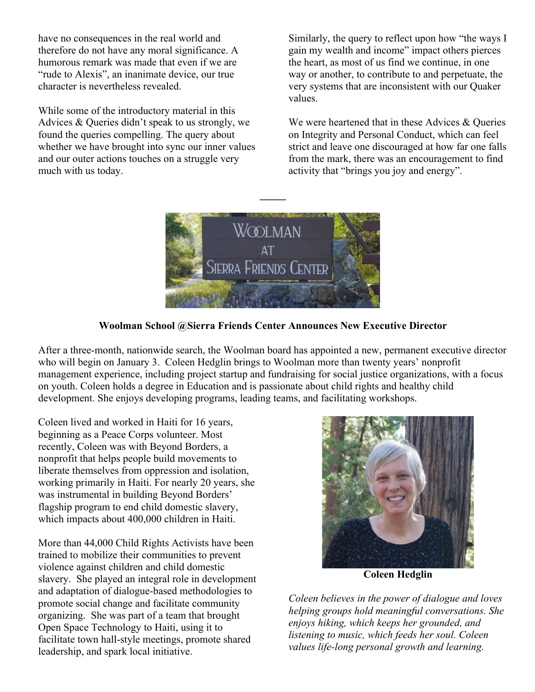have no consequences in the real world and therefore do not have any moral significance. A humorous remark was made that even if we are "rude to Alexis", an inanimate device, our true character is nevertheless revealed.

While some of the introductory material in this Advices & Queries didn't speak to us strongly, we found the queries compelling. The query about whether we have brought into sync our inner values and our outer actions touches on a struggle very much with us today.

Similarly, the query to reflect upon how "the ways I gain my wealth and income" impact others pierces the heart, as most of us find we continue, in one way or another, to contribute to and perpetuate, the very systems that are inconsistent with our Quaker values.

We were heartened that in these Advices & Queries on Integrity and Personal Conduct, which can feel strict and leave one discouraged at how far one falls from the mark, there was an encouragement to find activity that "brings you joy and energy".



**\_\_\_\_\_**

## **Woolman School @Sierra Friends Center Announces New Executive Director**

After a three-month, nationwide search, the Woolman board has appointed a new, permanent executive director who will begin on January 3. Coleen Hedglin brings to Woolman more than twenty years' nonprofit management experience, including project startup and fundraising for social justice organizations, with a focus on youth. Coleen holds a degree in Education and is passionate about child rights and healthy child development. She enjoys developing programs, leading teams, and facilitating workshops.

Coleen lived and worked in Haiti for 16 years, beginning as a Peace Corps volunteer. Most recently, Coleen was with Beyond Borders, a nonprofit that helps people build movements to liberate themselves from oppression and isolation, working primarily in Haiti. For nearly 20 years, she was instrumental in building Beyond Borders' flagship program to end child domestic slavery, which impacts about 400,000 children in Haiti.

More than 44,000 Child Rights Activists have been trained to mobilize their communities to prevent violence against children and child domestic slavery. She played an integral role in development and adaptation of dialogue-based methodologies to promote social change and facilitate community organizing. She was part of a team that brought Open Space Technology to Haiti, using it to facilitate town hall-style meetings, promote shared leadership, and spark local initiative.



**Coleen Hedglin**

*Coleen believes in the power of dialogue and loves helping groups hold meaningful conversations. She enjoys hiking, which keeps her grounded, and listening to music, which feeds her soul. Coleen values life-long personal growth and learning.*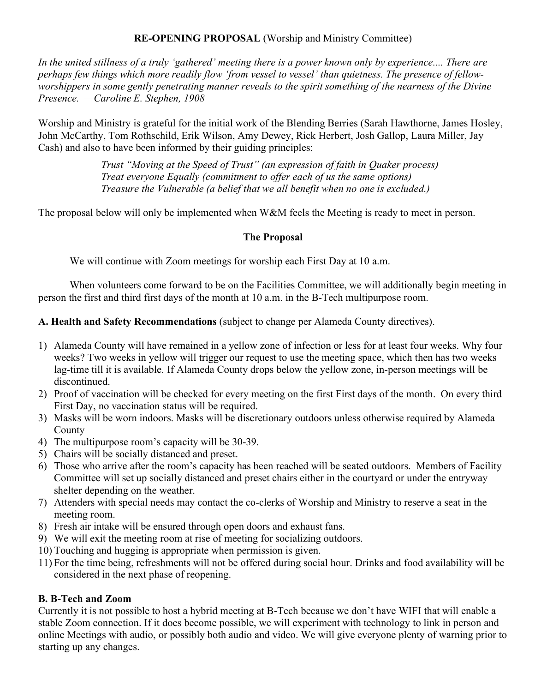# **RE-OPENING PROPOSAL** (Worship and Ministry Committee)

In the united stillness of a truly 'gathered' meeting there is a power known only by experience.... There are perhaps few things which more readily flow 'from vessel to vessel' than quietness. The presence of fellowworshippers in some gently penetrating manner reveals to the spirit something of the nearness of the Divine *Presence. —Caroline E. Stephen, 1908*

Worship and Ministry is grateful for the initial work of the Blending Berries (Sarah Hawthorne, James Hosley, John McCarthy, Tom Rothschild, Erik Wilson, Amy Dewey, Rick Herbert, Josh Gallop, Laura Miller, Jay Cash) and also to have been informed by their guiding principles:

> *Trust "Moving at the Speed of Trust" (an expression of faith in Quaker process) Treat everyone Equally (commitment to offer each of us the same options) Treasure the Vulnerable (a belief that we all benefit when no one is excluded.)*

The proposal below will only be implemented when W&M feels the Meeting is ready to meet in person.

# **The Proposal**

We will continue with Zoom meetings for worship each First Day at 10 a.m.

When volunteers come forward to be on the Facilities Committee, we will additionally begin meeting in person the first and third first days of the month at 10 a.m. in the B-Tech multipurpose room.

# **A. Health and Safety Recommendations** (subject to change per Alameda County directives).

- 1) Alameda County will have remained in a yellow zone of infection or less for at least four weeks. Why four weeks? Two weeks in yellow will trigger our request to use the meeting space, which then has two weeks lag-time till it is available. If Alameda County drops below the yellow zone, in-person meetings will be discontinued.
- 2) Proof of vaccination will be checked for every meeting on the first First days of the month. On every third First Day, no vaccination status will be required.
- 3) Masks will be worn indoors. Masks will be discretionary outdoors unless otherwise required by Alameda **County**
- 4) The multipurpose room's capacity will be 30-39.
- 5) Chairs will be socially distanced and preset.
- 6) Those who arrive after the room's capacity has been reached will be seated outdoors. Members of Facility Committee will set up socially distanced and preset chairs either in the courtyard or under the entryway shelter depending on the weather.
- 7) Attenders with special needs may contact the co-clerks of Worship and Ministry to reserve a seat in the meeting room.
- 8) Fresh air intake will be ensured through open doors and exhaust fans.
- 9) We will exit the meeting room at rise of meeting for socializing outdoors.
- 10) Touching and hugging is appropriate when permission is given.
- 11) For the time being, refreshments will not be offered during social hour. Drinks and food availability will be considered in the next phase of reopening.

# **B. B-Tech and Zoom**

Currently it is not possible to host a hybrid meeting at B-Tech because we don't have WIFI that will enable a stable Zoom connection. If it does become possible, we will experiment with technology to link in person and online Meetings with audio, or possibly both audio and video. We will give everyone plenty of warning prior to starting up any changes.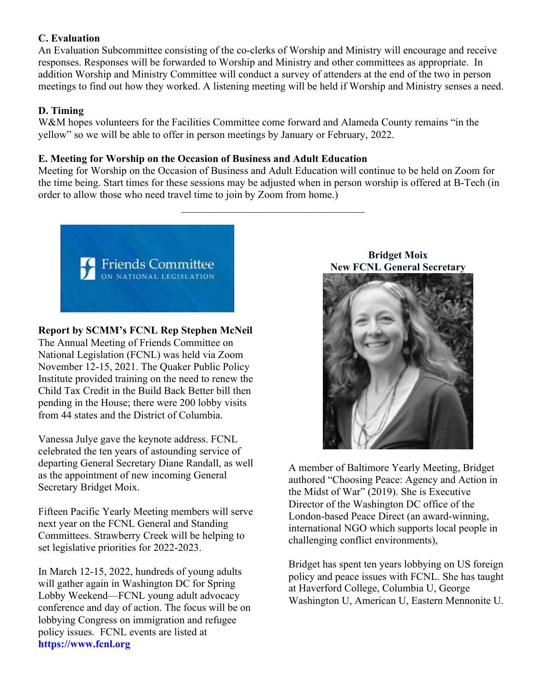## **C. Evaluation**

An Evaluation Subcommittee consisting of the co-clerks of Worship and Ministry will encourage and receive responses. Responses will be forwarded to Worship and Ministry and other committees as appropriate. In addition Worship and Ministry Committee will conduct a survey of attenders at the end of the two in person meetings to find out how they worked. A listening meeting will be held if Worship and Ministry senses a need.

# **D. Timing**

W&M hopes volunteers for the Facilities Committee come forward and Alameda County remains "in the yellow" so we will be able to offer in person meetings by January or February, 2022.

## **E. Meeting for Worship on the Occasion of Business and Adult Education**

Meeting for Worship on the Occasion of Business and Adult Education will continue to be held on Zoom for the time being. Start times for these sessions may be adjusted when in person worship is offered at B-Tech (in order to allow those who need travel time to join by Zoom from home.)

 $\mathcal{L}_\text{max}$  , where  $\mathcal{L}_\text{max}$  and  $\mathcal{L}_\text{max}$  and  $\mathcal{L}_\text{max}$ 



# **Report by SCMM's FCNL Rep Stephen McNeil**

The Annual Meeting of Friends Committee on National Legislation (FCNL) was held via Zoom November 12-15, 2021. The Quaker Public Policy Institute provided training on the need to renew the Child Tax Credit in the Build Back Better bill then pending in the House; there were 200 lobby visits from 44 states and the District of Columbia.

Vanessa Julye gave the keynote address. FCNL celebrated the ten years of astounding service of departing General Secretary Diane Randall, as well as the appointment of new incoming General Secretary Bridget Moix.

Fifteen Pacific Yearly Meeting members will serve next year on the FCNL General and Standing Committees. Strawberry Creek will be helping to set legislative priorities for 2022-2023.

In March 12-15, 2022, hundreds of young adults will gather again in Washington DC for Spring Lobby Weekend—FCNL young adult advocacy conference and day of action. The focus will be on lobbying Congress on immigration and refugee policy issues. FCNL events are listed at **https://www.fcnl.org**

**Bridget Moix New FCNL General Secretary**



A member of Baltimore Yearly Meeting, Bridget authored "Choosing Peace: Agency and Action in the Midst of War" (2019). She is Executive Director of the Washington DC office of the London-based Peace Direct (an award-winning, international NGO which supports local people in challenging conflict environments),

Bridget has spent ten years lobbying on US foreign policy and peace issues with FCNL. She has taught at Haverford College, Columbia U, George Washington U, American U, Eastern Mennonite U.